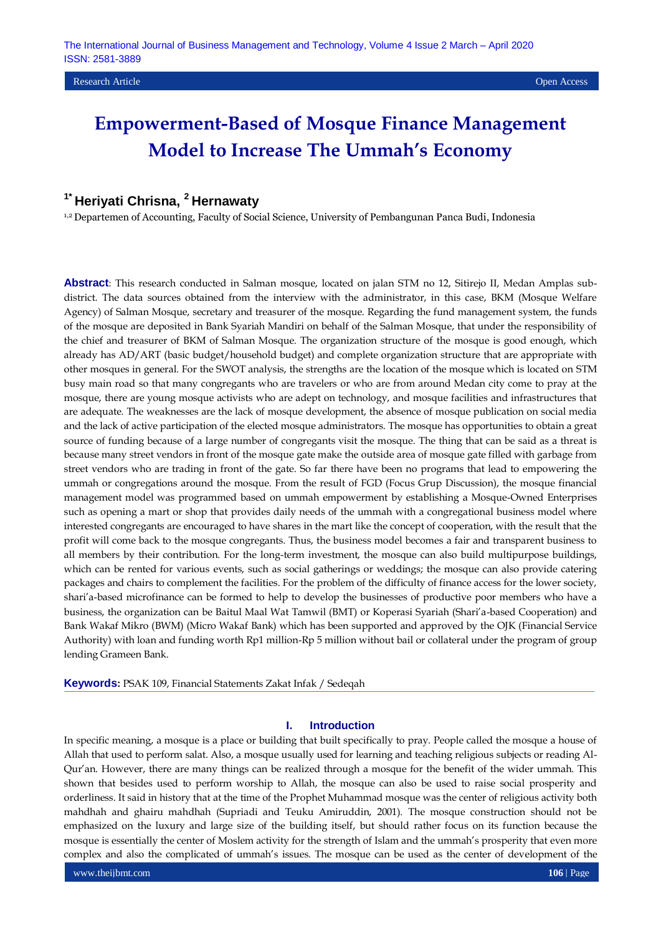# **Empowerment-Based of Mosque Finance Management Model to Increase The Ummah's Economy**

# **1\* Heriyati Chrisna, <sup>2</sup>Hernawaty**

1,2 Departemen of Accounting, Faculty of Social Science, University of Pembangunan Panca Budi, Indonesia

**Abstract**: This research conducted in Salman mosque, located on jalan STM no 12, Sitirejo II, Medan Amplas subdistrict. The data sources obtained from the interview with the administrator, in this case, BKM (Mosque Welfare Agency) of Salman Mosque, secretary and treasurer of the mosque. Regarding the fund management system, the funds of the mosque are deposited in Bank Syariah Mandiri on behalf of the Salman Mosque, that under the responsibility of the chief and treasurer of BKM of Salman Mosque. The organization structure of the mosque is good enough, which already has AD/ART (basic budget/household budget) and complete organization structure that are appropriate with other mosques in general. For the SWOT analysis, the strengths are the location of the mosque which is located on STM busy main road so that many congregants who are travelers or who are from around Medan city come to pray at the mosque, there are young mosque activists who are adept on technology, and mosque facilities and infrastructures that are adequate. The weaknesses are the lack of mosque development, the absence of mosque publication on social media and the lack of active participation of the elected mosque administrators. The mosque has opportunities to obtain a great source of funding because of a large number of congregants visit the mosque. The thing that can be said as a threat is because many street vendors in front of the mosque gate make the outside area of mosque gate filled with garbage from street vendors who are trading in front of the gate. So far there have been no programs that lead to empowering the ummah or congregations around the mosque. From the result of FGD (Focus Grup Discussion), the mosque financial management model was programmed based on ummah empowerment by establishing a Mosque-Owned Enterprises such as opening a mart or shop that provides daily needs of the ummah with a congregational business model where interested congregants are encouraged to have shares in the mart like the concept of cooperation, with the result that the profit will come back to the mosque congregants. Thus, the business model becomes a fair and transparent business to all members by their contribution. For the long-term investment, the mosque can also build multipurpose buildings, which can be rented for various events, such as social gatherings or weddings; the mosque can also provide catering packages and chairs to complement the facilities. For the problem of the difficulty of finance access for the lower society, shari'a-based microfinance can be formed to help to develop the businesses of productive poor members who have a business, the organization can be Baitul Maal Wat Tamwil (BMT) or Koperasi Syariah (Shari'a-based Cooperation) and Bank Wakaf Mikro (BWM) (Micro Wakaf Bank) which has been supported and approved by the OJK (Financial Service Authority) with loan and funding worth Rp1 million-Rp 5 million without bail or collateral under the program of group lending Grameen Bank.

**Keywords:** PSAK 109, Financial Statements Zakat Infak / Sedeqah

# **I. Introduction**

In specific meaning, a mosque is a place or building that built specifically to pray. People called the mosque a house of Allah that used to perform salat. Also, a mosque usually used for learning and teaching religious subjects or reading Al-Qur'an. However, there are many things can be realized through a mosque for the benefit of the wider ummah. This shown that besides used to perform worship to Allah, the mosque can also be used to raise social prosperity and orderliness. It said in history that at the time of the Prophet Muhammad mosque was the center of religious activity both mahdhah and ghairu mahdhah (Supriadi and Teuku Amiruddin, 2001). The mosque construction should not be emphasized on the luxury and large size of the building itself, but should rather focus on its function because the mosque is essentially the center of Moslem activity for the strength of Islam and the ummah's prosperity that even more complex and also the complicated of ummah's issues. The mosque can be used as the center of development of the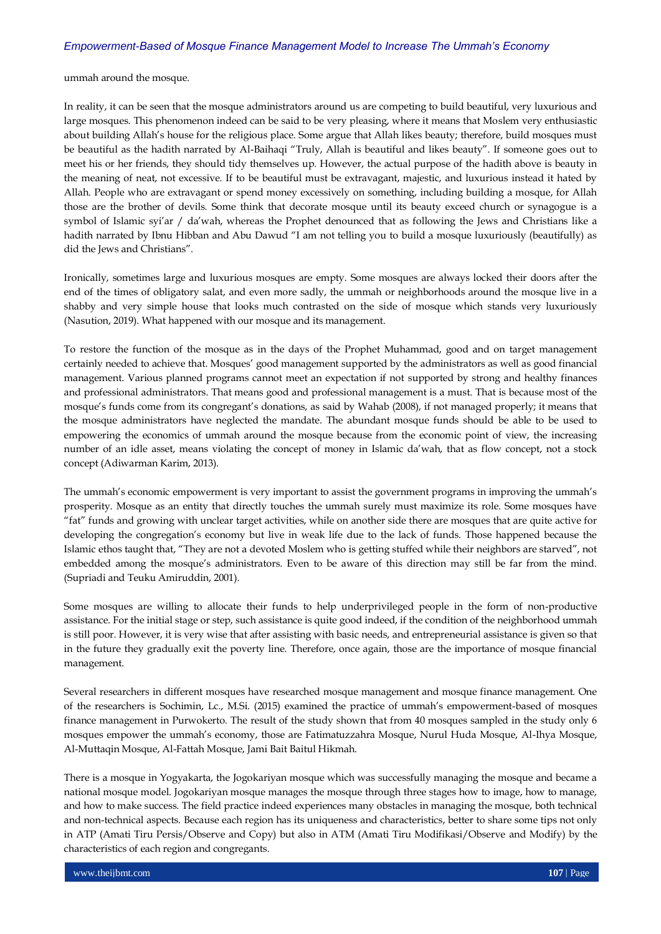# *Empowerment-Based of Mosque Finance Management Model to Increase The Ummah's Economy*

ummah around the mosque.

In reality, it can be seen that the mosque administrators around us are competing to build beautiful, very luxurious and large mosques. This phenomenon indeed can be said to be very pleasing, where it means that Moslem very enthusiastic about building Allah's house for the religious place. Some argue that Allah likes beauty; therefore, build mosques must be beautiful as the hadith narrated by Al-Baihaqi "Truly, Allah is beautiful and likes beauty". If someone goes out to meet his or her friends, they should tidy themselves up. However, the actual purpose of the hadith above is beauty in the meaning of neat, not excessive. If to be beautiful must be extravagant, majestic, and luxurious instead it hated by Allah. People who are extravagant or spend money excessively on something, including building a mosque, for Allah those are the brother of devils. Some think that decorate mosque until its beauty exceed church or synagogue is a symbol of Islamic syi'ar / da'wah, whereas the Prophet denounced that as following the Jews and Christians like a hadith narrated by Ibnu Hibban and Abu Dawud "I am not telling you to build a mosque luxuriously (beautifully) as did the Jews and Christians".

Ironically, sometimes large and luxurious mosques are empty. Some mosques are always locked their doors after the end of the times of obligatory salat, and even more sadly, the ummah or neighborhoods around the mosque live in a shabby and very simple house that looks much contrasted on the side of mosque which stands very luxuriously (Nasution, 2019). What happened with our mosque and its management.

To restore the function of the mosque as in the days of the Prophet Muhammad, good and on target management certainly needed to achieve that. Mosques' good management supported by the administrators as well as good financial management. Various planned programs cannot meet an expectation if not supported by strong and healthy finances and professional administrators. That means good and professional management is a must. That is because most of the mosque's funds come from its congregant's donations, as said by Wahab (2008), if not managed properly; it means that the mosque administrators have neglected the mandate. The abundant mosque funds should be able to be used to empowering the economics of ummah around the mosque because from the economic point of view, the increasing number of an idle asset, means violating the concept of money in Islamic da'wah, that as flow concept, not a stock concept (Adiwarman Karim, 2013).

The ummah's economic empowerment is very important to assist the government programs in improving the ummah's prosperity. Mosque as an entity that directly touches the ummah surely must maximize its role. Some mosques have "fat" funds and growing with unclear target activities, while on another side there are mosques that are quite active for developing the congregation's economy but live in weak life due to the lack of funds. Those happened because the Islamic ethos taught that, "They are not a devoted Moslem who is getting stuffed while their neighbors are starved", not embedded among the mosque's administrators. Even to be aware of this direction may still be far from the mind. (Supriadi and Teuku Amiruddin, 2001).

Some mosques are willing to allocate their funds to help underprivileged people in the form of non-productive assistance. For the initial stage or step, such assistance is quite good indeed, if the condition of the neighborhood ummah is still poor. However, it is very wise that after assisting with basic needs, and entrepreneurial assistance is given so that in the future they gradually exit the poverty line. Therefore, once again, those are the importance of mosque financial management.

Several researchers in different mosques have researched mosque management and mosque finance management. One of the researchers is Sochimin, Lc., M.Si. (2015) examined the practice of ummah's empowerment-based of mosques finance management in Purwokerto. The result of the study shown that from 40 mosques sampled in the study only 6 mosques empower the ummah's economy, those are Fatimatuzzahra Mosque, Nurul Huda Mosque, Al-Ihya Mosque, Al-Muttaqin Mosque, Al-Fattah Mosque, Jami Bait Baitul Hikmah.

There is a mosque in Yogyakarta, the Jogokariyan mosque which was successfully managing the mosque and became a national mosque model. Jogokariyan mosque manages the mosque through three stages how to image, how to manage, and how to make success. The field practice indeed experiences many obstacles in managing the mosque, both technical and non-technical aspects. Because each region has its uniqueness and characteristics, better to share some tips not only in ATP (Amati Tiru Persis/Observe and Copy) but also in ATM (Amati Tiru Modifikasi/Observe and Modify) by the characteristics of each region and congregants.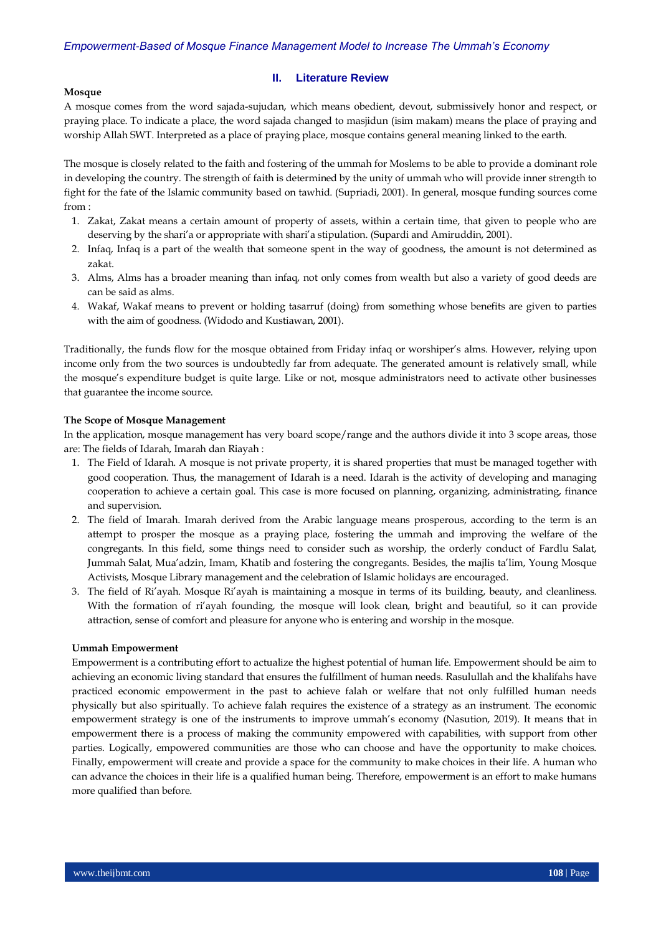# **II. Literature Review**

#### **Mosque**

A mosque comes from the word sajada-sujudan, which means obedient, devout, submissively honor and respect, or praying place. To indicate a place, the word sajada changed to masjidun (isim makam) means the place of praying and worship Allah SWT. Interpreted as a place of praying place, mosque contains general meaning linked to the earth.

The mosque is closely related to the faith and fostering of the ummah for Moslems to be able to provide a dominant role in developing the country. The strength of faith is determined by the unity of ummah who will provide inner strength to fight for the fate of the Islamic community based on tawhid. (Supriadi, 2001). In general, mosque funding sources come from :

- 1. Zakat, Zakat means a certain amount of property of assets, within a certain time, that given to people who are deserving by the shari'a or appropriate with shari'a stipulation. (Supardi and Amiruddin, 2001).
- 2. Infaq, Infaq is a part of the wealth that someone spent in the way of goodness, the amount is not determined as zakat.
- 3. Alms, Alms has a broader meaning than infaq, not only comes from wealth but also a variety of good deeds are can be said as alms.
- 4. Wakaf, Wakaf means to prevent or holding tasarruf (doing) from something whose benefits are given to parties with the aim of goodness. (Widodo and Kustiawan, 2001).

Traditionally, the funds flow for the mosque obtained from Friday infaq or worshiper's alms. However, relying upon income only from the two sources is undoubtedly far from adequate. The generated amount is relatively small, while the mosque's expenditure budget is quite large. Like or not, mosque administrators need to activate other businesses that guarantee the income source.

# **The Scope of Mosque Management**

In the application, mosque management has very board scope/range and the authors divide it into 3 scope areas, those are: The fields of Idarah, Imarah dan Riayah :

- 1. The Field of Idarah. A mosque is not private property, it is shared properties that must be managed together with good cooperation. Thus, the management of Idarah is a need. Idarah is the activity of developing and managing cooperation to achieve a certain goal. This case is more focused on planning, organizing, administrating, finance and supervision.
- 2. The field of Imarah. Imarah derived from the Arabic language means prosperous, according to the term is an attempt to prosper the mosque as a praying place, fostering the ummah and improving the welfare of the congregants. In this field, some things need to consider such as worship, the orderly conduct of Fardlu Salat, Jummah Salat, Mua'adzin, Imam, Khatib and fostering the congregants. Besides, the majlis ta'lim, Young Mosque Activists, Mosque Library management and the celebration of Islamic holidays are encouraged.
- 3. The field of Ri'ayah. Mosque Ri'ayah is maintaining a mosque in terms of its building, beauty, and cleanliness. With the formation of ri'ayah founding, the mosque will look clean, bright and beautiful, so it can provide attraction, sense of comfort and pleasure for anyone who is entering and worship in the mosque.

#### **Ummah Empowerment**

Empowerment is a contributing effort to actualize the highest potential of human life. Empowerment should be aim to achieving an economic living standard that ensures the fulfillment of human needs. Rasulullah and the khalifahs have practiced economic empowerment in the past to achieve falah or welfare that not only fulfilled human needs physically but also spiritually. To achieve falah requires the existence of a strategy as an instrument. The economic empowerment strategy is one of the instruments to improve ummah's economy (Nasution, 2019). It means that in empowerment there is a process of making the community empowered with capabilities, with support from other parties. Logically, empowered communities are those who can choose and have the opportunity to make choices. Finally, empowerment will create and provide a space for the community to make choices in their life. A human who can advance the choices in their life is a qualified human being. Therefore, empowerment is an effort to make humans more qualified than before.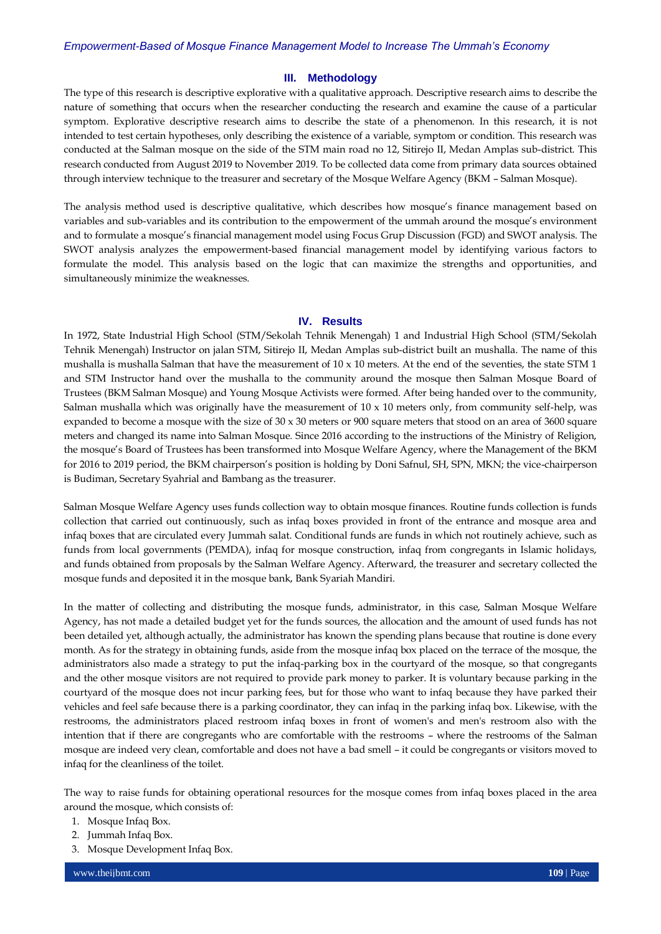## **III. Methodology**

The type of this research is descriptive explorative with a qualitative approach. Descriptive research aims to describe the nature of something that occurs when the researcher conducting the research and examine the cause of a particular symptom. Explorative descriptive research aims to describe the state of a phenomenon. In this research, it is not intended to test certain hypotheses, only describing the existence of a variable, symptom or condition. This research was conducted at the Salman mosque on the side of the STM main road no 12, Sitirejo II, Medan Amplas sub-district. This research conducted from August 2019 to November 2019. To be collected data come from primary data sources obtained through interview technique to the treasurer and secretary of the Mosque Welfare Agency (BKM – Salman Mosque).

The analysis method used is descriptive qualitative, which describes how mosque's finance management based on variables and sub-variables and its contribution to the empowerment of the ummah around the mosque's environment and to formulate a mosque's financial management model using Focus Grup Discussion (FGD) and SWOT analysis. The SWOT analysis analyzes the empowerment-based financial management model by identifying various factors to formulate the model. This analysis based on the logic that can maximize the strengths and opportunities, and simultaneously minimize the weaknesses.

## **IV. Results**

In 1972, State Industrial High School (STM/Sekolah Tehnik Menengah) 1 and Industrial High School (STM/Sekolah Tehnik Menengah) Instructor on jalan STM, Sitirejo II, Medan Amplas sub-district built an mushalla. The name of this mushalla is mushalla Salman that have the measurement of  $10 \times 10$  meters. At the end of the seventies, the state STM 1 and STM Instructor hand over the mushalla to the community around the mosque then Salman Mosque Board of Trustees (BKM Salman Mosque) and Young Mosque Activists were formed. After being handed over to the community, Salman mushalla which was originally have the measurement of  $10 \times 10$  meters only, from community self-help, was expanded to become a mosque with the size of  $30 \times 30$  meters or 900 square meters that stood on an area of  $3600$  square meters and changed its name into Salman Mosque. Since 2016 according to the instructions of the Ministry of Religion, the mosque's Board of Trustees has been transformed into Mosque Welfare Agency, where the Management of the BKM for 2016 to 2019 period, the BKM chairperson's position is holding by Doni Safnul, SH, SPN, MKN; the vice-chairperson is Budiman, Secretary Syahrial and Bambang as the treasurer.

Salman Mosque Welfare Agency uses funds collection way to obtain mosque finances. Routine funds collection is funds collection that carried out continuously, such as infaq boxes provided in front of the entrance and mosque area and infaq boxes that are circulated every Jummah salat. Conditional funds are funds in which not routinely achieve, such as funds from local governments (PEMDA), infaq for mosque construction, infaq from congregants in Islamic holidays, and funds obtained from proposals by the Salman Welfare Agency. Afterward, the treasurer and secretary collected the mosque funds and deposited it in the mosque bank, Bank Syariah Mandiri.

In the matter of collecting and distributing the mosque funds, administrator, in this case, Salman Mosque Welfare Agency, has not made a detailed budget yet for the funds sources, the allocation and the amount of used funds has not been detailed yet, although actually, the administrator has known the spending plans because that routine is done every month. As for the strategy in obtaining funds, aside from the mosque infaq box placed on the terrace of the mosque, the administrators also made a strategy to put the infaq-parking box in the courtyard of the mosque, so that congregants and the other mosque visitors are not required to provide park money to parker. It is voluntary because parking in the courtyard of the mosque does not incur parking fees, but for those who want to infaq because they have parked their vehicles and feel safe because there is a parking coordinator, they can infaq in the parking infaq box. Likewise, with the restrooms, the administrators placed restroom infaq boxes in front of women's and men's restroom also with the intention that if there are congregants who are comfortable with the restrooms – where the restrooms of the Salman mosque are indeed very clean, comfortable and does not have a bad smell – it could be congregants or visitors moved to infaq for the cleanliness of the toilet.

The way to raise funds for obtaining operational resources for the mosque comes from infaq boxes placed in the area around the mosque, which consists of:

- 1. Mosque Infaq Box.
- 2. Jummah Infaq Box.
- 3. Mosque Development Infaq Box.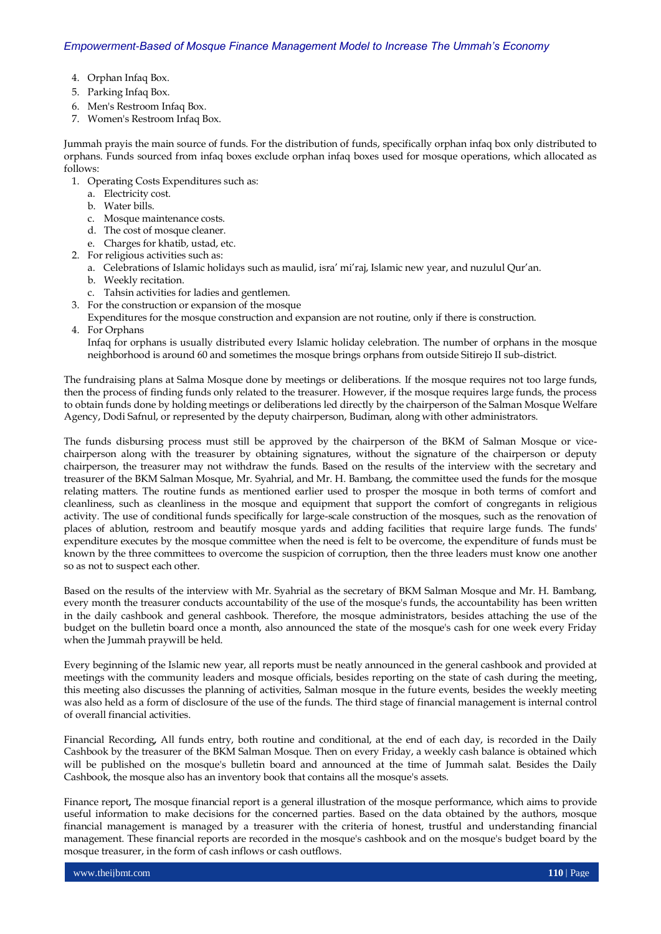- 4. Orphan Infaq Box.
- 5. Parking Infaq Box.
- 6. Men's Restroom Infaq Box.
- 7. Women's Restroom Infaq Box.

Jummah prayis the main source of funds. For the distribution of funds, specifically orphan infaq box only distributed to orphans. Funds sourced from infaq boxes exclude orphan infaq boxes used for mosque operations, which allocated as follows:

- 1. Operating Costs Expenditures such as:
	- a. Electricity cost.
	- b. Water bills.
	- c. Mosque maintenance costs.
	- d. The cost of mosque cleaner.
	- e. Charges for khatib, ustad, etc.
- 2. For religious activities such as:
	- a. Celebrations of Islamic holidays such as maulid, isra' mi'raj, Islamic new year, and nuzulul Qur'an.
	- b. Weekly recitation.
	- c. Tahsin activities for ladies and gentlemen.
- 3. For the construction or expansion of the mosque
- Expenditures for the mosque construction and expansion are not routine, only if there is construction.
- 4. For Orphans

Infaq for orphans is usually distributed every Islamic holiday celebration. The number of orphans in the mosque neighborhood is around 60 and sometimes the mosque brings orphans from outside Sitirejo II sub-district.

The fundraising plans at Salma Mosque done by meetings or deliberations. If the mosque requires not too large funds, then the process of finding funds only related to the treasurer. However, if the mosque requires large funds, the process to obtain funds done by holding meetings or deliberations led directly by the chairperson of the Salman Mosque Welfare Agency, Dodi Safnul, or represented by the deputy chairperson, Budiman, along with other administrators.

The funds disbursing process must still be approved by the chairperson of the BKM of Salman Mosque or vicechairperson along with the treasurer by obtaining signatures, without the signature of the chairperson or deputy chairperson, the treasurer may not withdraw the funds. Based on the results of the interview with the secretary and treasurer of the BKM Salman Mosque, Mr. Syahrial, and Mr. H. Bambang, the committee used the funds for the mosque relating matters. The routine funds as mentioned earlier used to prosper the mosque in both terms of comfort and cleanliness, such as cleanliness in the mosque and equipment that support the comfort of congregants in religious activity. The use of conditional funds specifically for large-scale construction of the mosques, such as the renovation of places of ablution, restroom and beautify mosque yards and adding facilities that require large funds. The funds' expenditure executes by the mosque committee when the need is felt to be overcome, the expenditure of funds must be known by the three committees to overcome the suspicion of corruption, then the three leaders must know one another so as not to suspect each other.

Based on the results of the interview with Mr. Syahrial as the secretary of BKM Salman Mosque and Mr. H. Bambang, every month the treasurer conducts accountability of the use of the mosque's funds, the accountability has been written in the daily cashbook and general cashbook. Therefore, the mosque administrators, besides attaching the use of the budget on the bulletin board once a month, also announced the state of the mosque's cash for one week every Friday when the Jummah praywill be held.

Every beginning of the Islamic new year, all reports must be neatly announced in the general cashbook and provided at meetings with the community leaders and mosque officials, besides reporting on the state of cash during the meeting, this meeting also discusses the planning of activities, Salman mosque in the future events, besides the weekly meeting was also held as a form of disclosure of the use of the funds. The third stage of financial management is internal control of overall financial activities.

Financial Recording**,** All funds entry, both routine and conditional, at the end of each day, is recorded in the Daily Cashbook by the treasurer of the BKM Salman Mosque. Then on every Friday, a weekly cash balance is obtained which will be published on the mosque's bulletin board and announced at the time of Jummah salat. Besides the Daily Cashbook, the mosque also has an inventory book that contains all the mosque's assets.

Finance report**,** The mosque financial report is a general illustration of the mosque performance, which aims to provide useful information to make decisions for the concerned parties. Based on the data obtained by the authors, mosque financial management is managed by a treasurer with the criteria of honest, trustful and understanding financial management. These financial reports are recorded in the mosque's cashbook and on the mosque's budget board by the mosque treasurer, in the form of cash inflows or cash outflows.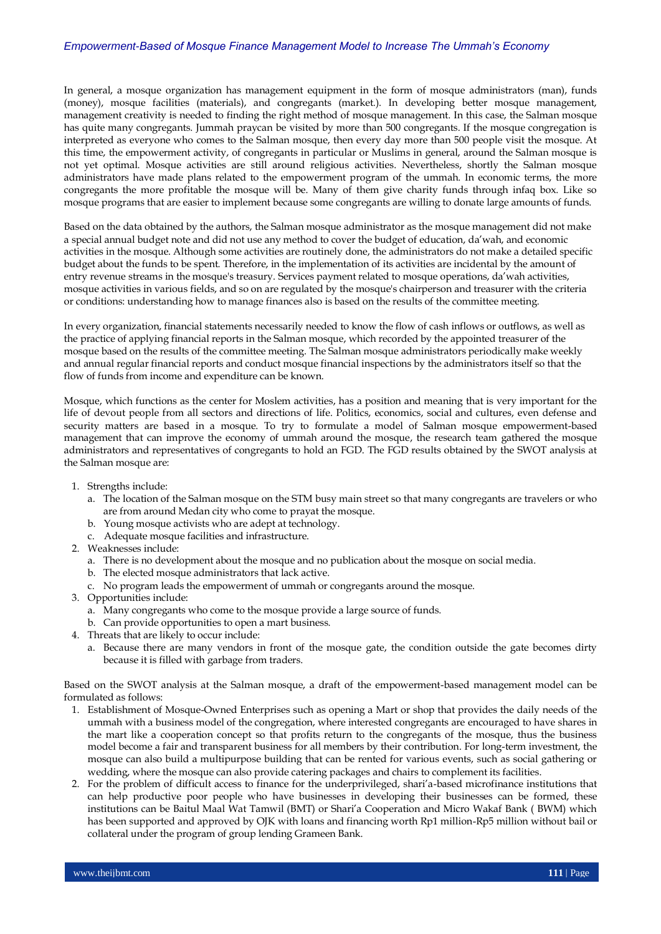In general, a mosque organization has management equipment in the form of mosque administrators (man), funds (money), mosque facilities (materials), and congregants (market.). In developing better mosque management, management creativity is needed to finding the right method of mosque management. In this case, the Salman mosque has quite many congregants. Jummah praycan be visited by more than 500 congregants. If the mosque congregation is interpreted as everyone who comes to the Salman mosque, then every day more than 500 people visit the mosque. At this time, the empowerment activity, of congregants in particular or Muslims in general, around the Salman mosque is not yet optimal. Mosque activities are still around religious activities. Nevertheless, shortly the Salman mosque administrators have made plans related to the empowerment program of the ummah. In economic terms, the more congregants the more profitable the mosque will be. Many of them give charity funds through infaq box. Like so mosque programs that are easier to implement because some congregants are willing to donate large amounts of funds.

Based on the data obtained by the authors, the Salman mosque administrator as the mosque management did not make a special annual budget note and did not use any method to cover the budget of education, da'wah, and economic activities in the mosque. Although some activities are routinely done, the administrators do not make a detailed specific budget about the funds to be spent. Therefore, in the implementation of its activities are incidental by the amount of entry revenue streams in the mosque's treasury. Services payment related to mosque operations, da'wah activities, mosque activities in various fields, and so on are regulated by the mosque's chairperson and treasurer with the criteria or conditions: understanding how to manage finances also is based on the results of the committee meeting.

In every organization, financial statements necessarily needed to know the flow of cash inflows or outflows, as well as the practice of applying financial reports in the Salman mosque, which recorded by the appointed treasurer of the mosque based on the results of the committee meeting. The Salman mosque administrators periodically make weekly and annual regular financial reports and conduct mosque financial inspections by the administrators itself so that the flow of funds from income and expenditure can be known.

Mosque, which functions as the center for Moslem activities, has a position and meaning that is very important for the life of devout people from all sectors and directions of life. Politics, economics, social and cultures, even defense and security matters are based in a mosque. To try to formulate a model of Salman mosque empowerment-based management that can improve the economy of ummah around the mosque, the research team gathered the mosque administrators and representatives of congregants to hold an FGD. The FGD results obtained by the SWOT analysis at the Salman mosque are:

- 1. Strengths include:
	- a. The location of the Salman mosque on the STM busy main street so that many congregants are travelers or who are from around Medan city who come to prayat the mosque.
	- b. Young mosque activists who are adept at technology.
	- c. Adequate mosque facilities and infrastructure.
- 2. Weaknesses include:
	- a. There is no development about the mosque and no publication about the mosque on social media.
	- b. The elected mosque administrators that lack active.
	- c. No program leads the empowerment of ummah or congregants around the mosque.
- 3. Opportunities include:
	- a. Many congregants who come to the mosque provide a large source of funds.
	- b. Can provide opportunities to open a mart business.
- 4. Threats that are likely to occur include:
	- a. Because there are many vendors in front of the mosque gate, the condition outside the gate becomes dirty because it is filled with garbage from traders.

Based on the SWOT analysis at the Salman mosque, a draft of the empowerment-based management model can be formulated as follows:

- 1. Establishment of Mosque-Owned Enterprises such as opening a Mart or shop that provides the daily needs of the ummah with a business model of the congregation, where interested congregants are encouraged to have shares in the mart like a cooperation concept so that profits return to the congregants of the mosque, thus the business model become a fair and transparent business for all members by their contribution. For long-term investment, the mosque can also build a multipurpose building that can be rented for various events, such as social gathering or wedding, where the mosque can also provide catering packages and chairs to complement its facilities.
- 2. For the problem of difficult access to finance for the underprivileged, shari'a-based microfinance institutions that can help productive poor people who have businesses in developing their businesses can be formed, these institutions can be Baitul Maal Wat Tamwil (BMT) or Shari'a Cooperation and Micro Wakaf Bank ( BWM) which has been supported and approved by OJK with loans and financing worth Rp1 million-Rp5 million without bail or collateral under the program of group lending Grameen Bank.